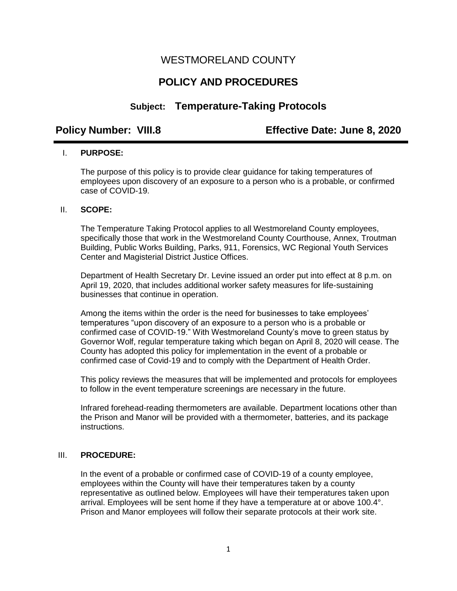## WESTMORELAND COUNTY

# **POLICY AND PROCEDURES**

## **Subject: Temperature-Taking Protocols**

**Policy Number: VIII.8 Effective Date: June 8, 2020** 

### I. **PURPOSE:**

The purpose of this policy is to provide clear guidance for taking temperatures of employees upon discovery of an exposure to a person who is a probable, or confirmed case of COVID-19.

### II. **SCOPE:**

The Temperature Taking Protocol applies to all Westmoreland County employees, specifically those that work in the Westmoreland County Courthouse, Annex, Troutman Building, Public Works Building, Parks, 911, Forensics, WC Regional Youth Services Center and Magisterial District Justice Offices.

Department of Health Secretary Dr. Levine issued an order put into effect at 8 p.m. on April 19, 2020, that includes additional worker safety measures for life-sustaining businesses that continue in operation.

Among the items within the order is the need for businesses to take employees' temperatures "upon discovery of an exposure to a person who is a probable or confirmed case of COVID-19." With Westmoreland County's move to green status by Governor Wolf, regular temperature taking which began on April 8, 2020 will cease. The County has adopted this policy for implementation in the event of a probable or confirmed case of Covid-19 and to comply with the Department of Health Order.

This policy reviews the measures that will be implemented and protocols for employees to follow in the event temperature screenings are necessary in the future.

Infrared forehead-reading thermometers are available. Department locations other than the Prison and Manor will be provided with a thermometer, batteries, and its package instructions.

### III. **PROCEDURE:**

In the event of a probable or confirmed case of COVID-19 of a county employee, employees within the County will have their temperatures taken by a county representative as outlined below. Employees will have their temperatures taken upon arrival. Employees will be sent home if they have a temperature at or above 100.4°. Prison and Manor employees will follow their separate protocols at their work site.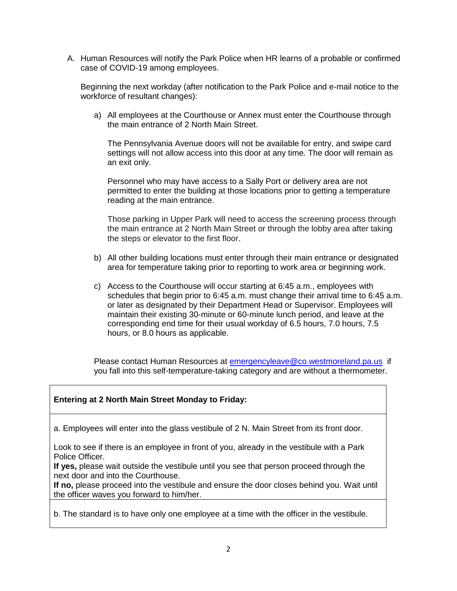A. Human Resources will notify the Park Police when HR learns of a probable or confirmed case of COVID-19 among employees.

Beginning the next workday (after notification to the Park Police and e-mail notice to the workforce of resultant changes):

a) All employees at the Courthouse or Annex must enter the Courthouse through the main entrance of 2 North Main Street.

The Pennsylvania Avenue doors will not be available for entry, and swipe card settings will not allow access into this door at any time. The door will remain as an exit only.

Personnel who may have access to a Sally Port or delivery area are not permitted to enter the building at those locations prior to getting a temperature reading at the main entrance.

Those parking in Upper Park will need to access the screening process through the main entrance at 2 North Main Street or through the lobby area after taking the steps or elevator to the first floor.

- b) All other building locations must enter through their main entrance or designated area for temperature taking prior to reporting to work area or beginning work.
- c) Access to the Courthouse will occur starting at 6:45 a.m., employees with schedules that begin prior to 6:45 a.m. must change their arrival time to 6:45 a.m. or later as designated by their Department Head or Supervisor. Employees will maintain their existing 30-minute or 60-minute lunch period, and leave at the corresponding end time for their usual workday of 6.5 hours, 7.0 hours, 7.5 hours, or 8.0 hours as applicable.

Please contact Human Resources at [emergencyleave@co.westmoreland.pa.us](mailto:emergencyleave@co.westmoreland.pa.us) if you fall into this self-temperature-taking category and are without a thermometer.

### **Entering at 2 North Main Street Monday to Friday:**

a. Employees will enter into the glass vestibule of 2 N. Main Street from its front door.

Look to see if there is an employee in front of you, already in the vestibule with a Park Police Officer.

**If yes,** please wait outside the vestibule until you see that person proceed through the next door and into the Courthouse.

**If no,** please proceed into the vestibule and ensure the door closes behind you. Wait until the officer waves you forward to him/her.

b. The standard is to have only one employee at a time with the officer in the vestibule.